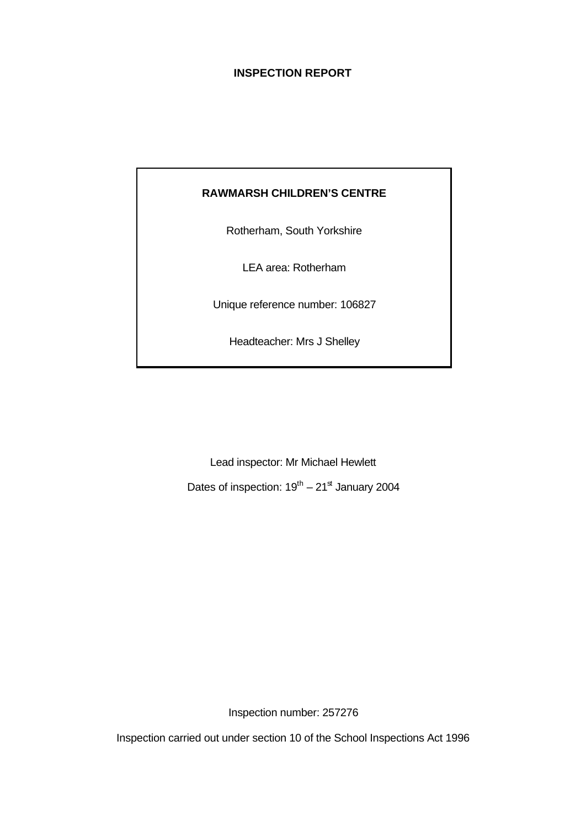# **INSPECTION REPORT**

# **RAWMARSH CHILDREN'S CENTRE**

Rotherham, South Yorkshire

LEA area: Rotherham

Unique reference number: 106827

Headteacher: Mrs J Shelley

Lead inspector: Mr Michael Hewlett

Dates of inspection:  $19^{\text{th}} - 21^{\text{st}}$  January 2004

Inspection number: 257276

Inspection carried out under section 10 of the School Inspections Act 1996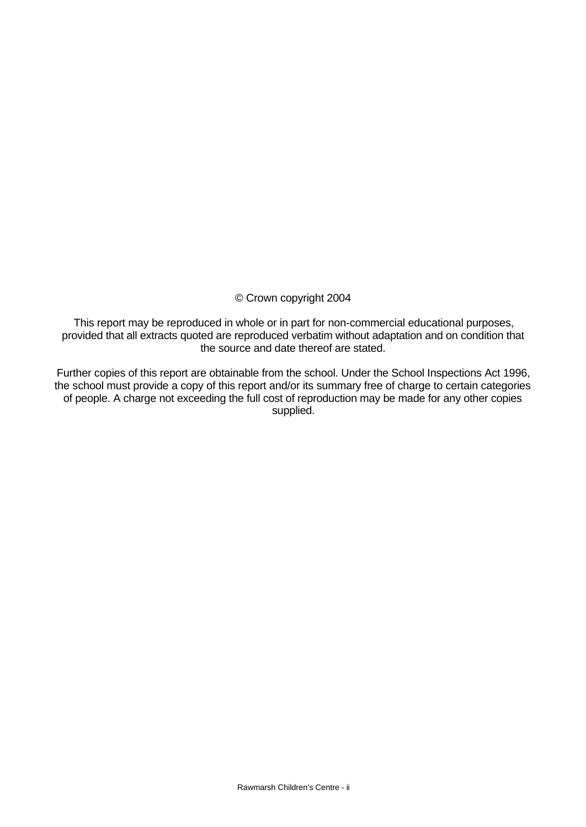# © Crown copyright 2004

This report may be reproduced in whole or in part for non-commercial educational purposes, provided that all extracts quoted are reproduced verbatim without adaptation and on condition that the source and date thereof are stated.

Further copies of this report are obtainable from the school. Under the School Inspections Act 1996, the school must provide a copy of this report and/or its summary free of charge to certain categories of people. A charge not exceeding the full cost of reproduction may be made for any other copies supplied.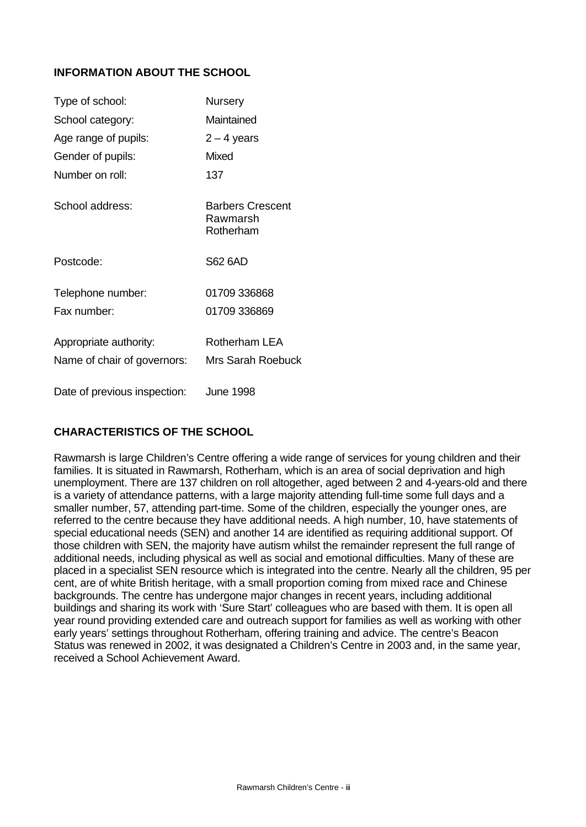# **INFORMATION ABOUT THE SCHOOL**

| Type of school:              | <b>Nursery</b>                            |
|------------------------------|-------------------------------------------|
| School category:             | Maintained                                |
| Age range of pupils:         | $2 - 4$ years                             |
| Gender of pupils:            | Mixed                                     |
| Number on roll:              | 137                                       |
| School address:              | Barbers Crescent<br>Rawmarsh<br>Rotherham |
| Postcode:                    | <b>S62 6AD</b>                            |
| Telephone number:            | 01709 336868                              |
| Fax number:                  | 01709 336869                              |
| Appropriate authority:       | Rotherham LEA                             |
| Name of chair of governors:  | <b>Mrs Sarah Roebuck</b>                  |
| Date of previous inspection: | June 1998                                 |

# **CHARACTERISTICS OF THE SCHOOL**

Rawmarsh is large Children's Centre offering a wide range of services for young children and their families. It is situated in Rawmarsh, Rotherham, which is an area of social deprivation and high unemployment. There are 137 children on roll altogether, aged between 2 and 4-years-old and there is a variety of attendance patterns, with a large majority attending full-time some full days and a smaller number, 57, attending part-time. Some of the children, especially the younger ones, are referred to the centre because they have additional needs. A high number, 10, have statements of special educational needs (SEN) and another 14 are identified as requiring additional support. Of those children with SEN, the majority have autism whilst the remainder represent the full range of additional needs, including physical as well as social and emotional difficulties. Many of these are placed in a specialist SEN resource which is integrated into the centre. Nearly all the children, 95 per cent, are of white British heritage, with a small proportion coming from mixed race and Chinese backgrounds. The centre has undergone major changes in recent years, including additional buildings and sharing its work with 'Sure Start' colleagues who are based with them. It is open all year round providing extended care and outreach support for families as well as working with other early years' settings throughout Rotherham, offering training and advice. The centre's Beacon Status was renewed in 2002, it was designated a Children's Centre in 2003 and, in the same year, received a School Achievement Award.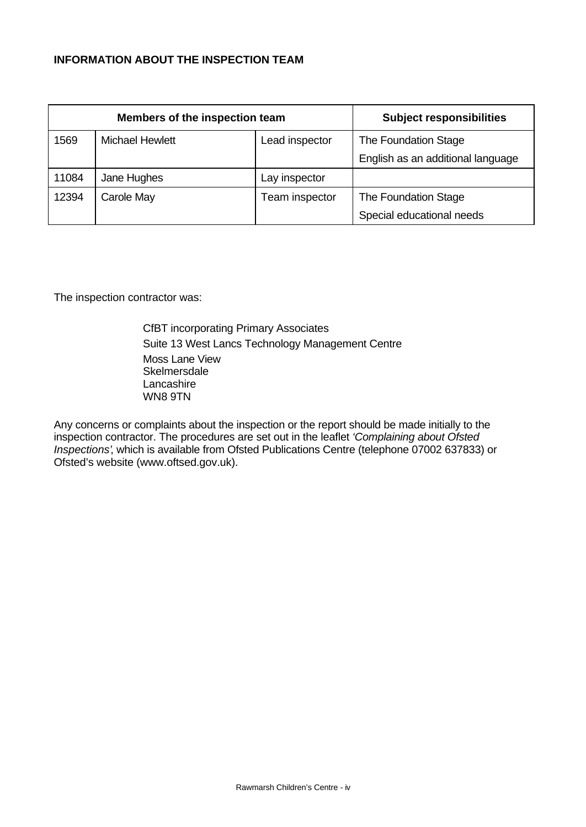# **INFORMATION ABOUT THE INSPECTION TEAM**

| Members of the inspection team |                        |                | <b>Subject responsibilities</b>   |
|--------------------------------|------------------------|----------------|-----------------------------------|
| 1569                           | <b>Michael Hewlett</b> | Lead inspector | The Foundation Stage              |
|                                |                        |                | English as an additional language |
| 11084                          | Jane Hughes            | Lay inspector  |                                   |
| 12394                          | Carole May             | Team inspector | The Foundation Stage              |
|                                |                        |                | Special educational needs         |

The inspection contractor was:

CfBT incorporating Primary Associates Suite 13 West Lancs Technology Management Centre Moss Lane View **Skelmersdale** Lancashire WN8 9TN

Any concerns or complaints about the inspection or the report should be made initially to the inspection contractor. The procedures are set out in the leaflet *'Complaining about Ofsted Inspections'*, which is available from Ofsted Publications Centre (telephone 07002 637833) or Ofsted's website (www.oftsed.gov.uk).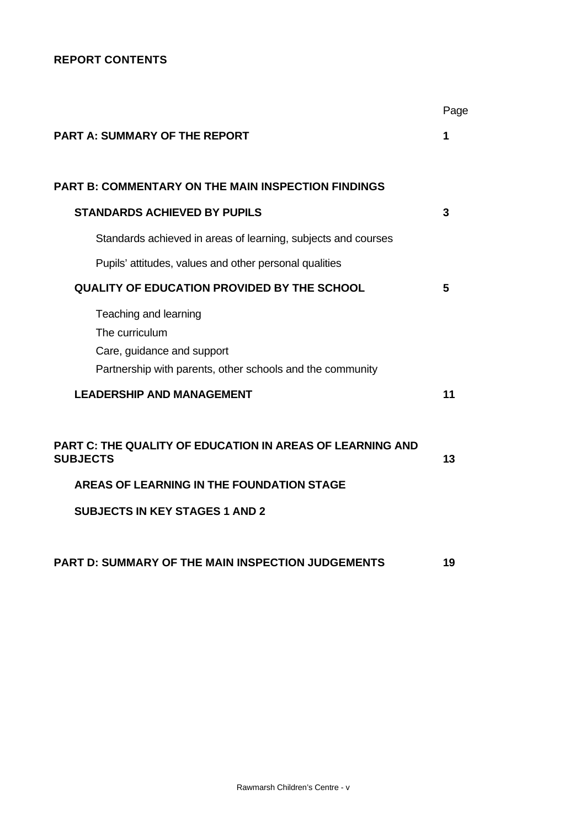# **REPORT CONTENTS**

|                                                                                                                                    | Page |
|------------------------------------------------------------------------------------------------------------------------------------|------|
| <b>PART A: SUMMARY OF THE REPORT</b>                                                                                               | 1    |
| <b>PART B: COMMENTARY ON THE MAIN INSPECTION FINDINGS</b>                                                                          |      |
| <b>STANDARDS ACHIEVED BY PUPILS</b>                                                                                                | 3    |
| Standards achieved in areas of learning, subjects and courses                                                                      |      |
| Pupils' attitudes, values and other personal qualities                                                                             |      |
| <b>QUALITY OF EDUCATION PROVIDED BY THE SCHOOL</b>                                                                                 | 5    |
| Teaching and learning<br>The curriculum<br>Care, guidance and support<br>Partnership with parents, other schools and the community |      |
| <b>LEADERSHIP AND MANAGEMENT</b>                                                                                                   | 11   |
| PART C: THE QUALITY OF EDUCATION IN AREAS OF LEARNING AND<br><b>SUBJECTS</b>                                                       | 13   |
| AREAS OF LEARNING IN THE FOUNDATION STAGE                                                                                          |      |
| <b>SUBJECTS IN KEY STAGES 1 AND 2</b>                                                                                              |      |
| <b>PART D: SUMMARY OF THE MAIN INSPECTION JUDGEMENTS</b>                                                                           | 19   |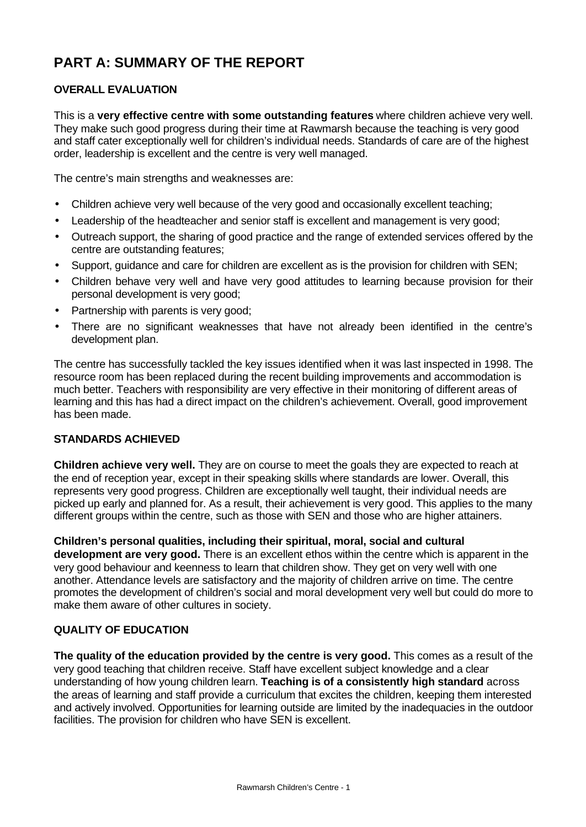# **PART A: SUMMARY OF THE REPORT**

# **OVERALL EVALUATION**

This is a **very effective centre with some outstanding features** where children achieve very well. They make such good progress during their time at Rawmarsh because the teaching is very good and staff cater exceptionally well for children's individual needs. Standards of care are of the highest order, leadership is excellent and the centre is very well managed.

The centre's main strengths and weaknesses are:

- Children achieve very well because of the very good and occasionally excellent teaching;
- Leadership of the headteacher and senior staff is excellent and management is very good;
- Outreach support, the sharing of good practice and the range of extended services offered by the centre are outstanding features;
- Support, guidance and care for children are excellent as is the provision for children with SEN;
- Children behave very well and have very good attitudes to learning because provision for their personal development is very good;
- Partnership with parents is very good;
- There are no significant weaknesses that have not already been identified in the centre's development plan.

The centre has successfully tackled the key issues identified when it was last inspected in 1998. The resource room has been replaced during the recent building improvements and accommodation is much better. Teachers with responsibility are very effective in their monitoring of different areas of learning and this has had a direct impact on the children's achievement. Overall, good improvement has been made.

# **STANDARDS ACHIEVED**

**Children achieve very well.** They are on course to meet the goals they are expected to reach at the end of reception year, except in their speaking skills where standards are lower. Overall, this represents very good progress. Children are exceptionally well taught, their individual needs are picked up early and planned for. As a result, their achievement is very good. This applies to the many different groups within the centre, such as those with SEN and those who are higher attainers.

**Children's personal qualities, including their spiritual, moral, social and cultural development are very good.** There is an excellent ethos within the centre which is apparent in the very good behaviour and keenness to learn that children show. They get on very well with one another. Attendance levels are satisfactory and the majority of children arrive on time. The centre promotes the development of children's social and moral development very well but could do more to make them aware of other cultures in society.

# **QUALITY OF EDUCATION**

**The quality of the education provided by the centre is very good.** This comes as a result of the very good teaching that children receive. Staff have excellent subject knowledge and a clear understanding of how young children learn. **Teaching is of a consistently high standard** across the areas of learning and staff provide a curriculum that excites the children, keeping them interested and actively involved. Opportunities for learning outside are limited by the inadequacies in the outdoor facilities. The provision for children who have SEN is excellent.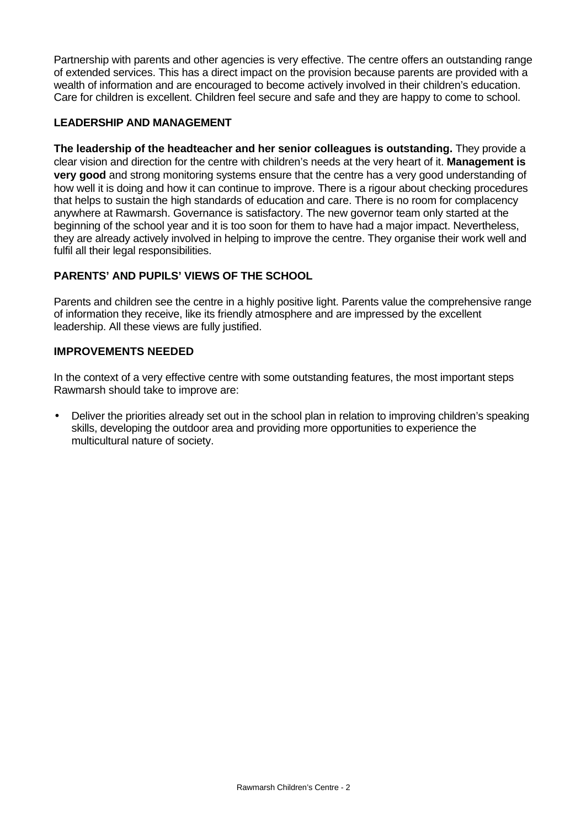Partnership with parents and other agencies is very effective. The centre offers an outstanding range of extended services. This has a direct impact on the provision because parents are provided with a wealth of information and are encouraged to become actively involved in their children's education. Care for children is excellent. Children feel secure and safe and they are happy to come to school.

# **LEADERSHIP AND MANAGEMENT**

**The leadership of the headteacher and her senior colleagues is outstanding.** They provide a clear vision and direction for the centre with children's needs at the very heart of it. **Management is very good** and strong monitoring systems ensure that the centre has a very good understanding of how well it is doing and how it can continue to improve. There is a rigour about checking procedures that helps to sustain the high standards of education and care. There is no room for complacency anywhere at Rawmarsh. Governance is satisfactory. The new governor team only started at the beginning of the school year and it is too soon for them to have had a major impact. Nevertheless, they are already actively involved in helping to improve the centre. They organise their work well and fulfil all their legal responsibilities.

# **PARENTS' AND PUPILS' VIEWS OF THE SCHOOL**

Parents and children see the centre in a highly positive light. Parents value the comprehensive range of information they receive, like its friendly atmosphere and are impressed by the excellent leadership. All these views are fully justified.

## **IMPROVEMENTS NEEDED**

In the context of a very effective centre with some outstanding features, the most important steps Rawmarsh should take to improve are:

• Deliver the priorities already set out in the school plan in relation to improving children's speaking skills, developing the outdoor area and providing more opportunities to experience the multicultural nature of society.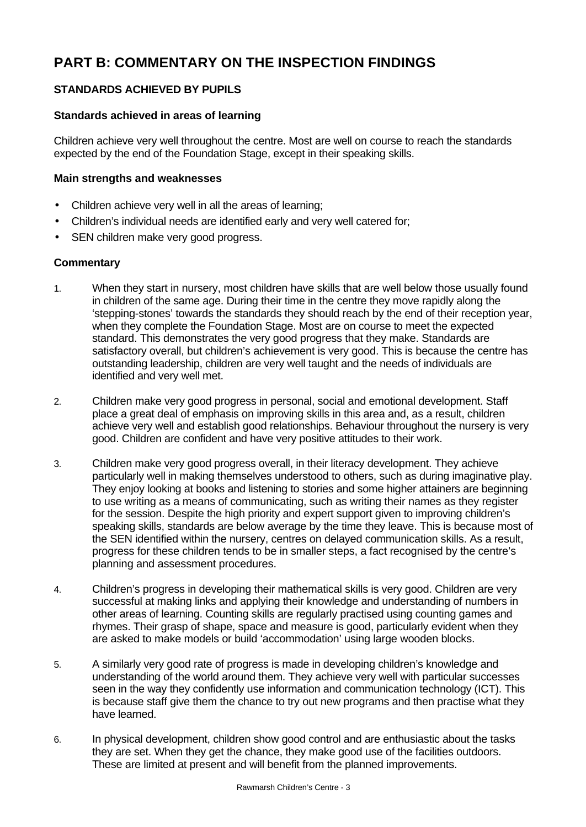# **PART B: COMMENTARY ON THE INSPECTION FINDINGS**

# **STANDARDS ACHIEVED BY PUPILS**

# **Standards achieved in areas of learning**

Children achieve very well throughout the centre. Most are well on course to reach the standards expected by the end of the Foundation Stage, except in their speaking skills.

### **Main strengths and weaknesses**

- Children achieve very well in all the areas of learning;
- Children's individual needs are identified early and very well catered for;
- SEN children make very good progress.

- 1. When they start in nursery, most children have skills that are well below those usually found in children of the same age. During their time in the centre they move rapidly along the 'stepping-stones' towards the standards they should reach by the end of their reception year, when they complete the Foundation Stage. Most are on course to meet the expected standard. This demonstrates the very good progress that they make. Standards are satisfactory overall, but children's achievement is very good. This is because the centre has outstanding leadership, children are very well taught and the needs of individuals are identified and very well met.
- 2. Children make very good progress in personal, social and emotional development. Staff place a great deal of emphasis on improving skills in this area and, as a result, children achieve very well and establish good relationships. Behaviour throughout the nursery is very good. Children are confident and have very positive attitudes to their work.
- 3. Children make very good progress overall, in their literacy development. They achieve particularly well in making themselves understood to others, such as during imaginative play. They enjoy looking at books and listening to stories and some higher attainers are beginning to use writing as a means of communicating, such as writing their names as they register for the session. Despite the high priority and expert support given to improving children's speaking skills, standards are below average by the time they leave. This is because most of the SEN identified within the nursery, centres on delayed communication skills. As a result, progress for these children tends to be in smaller steps, a fact recognised by the centre's planning and assessment procedures.
- 4. Children's progress in developing their mathematical skills is very good. Children are very successful at making links and applying their knowledge and understanding of numbers in other areas of learning. Counting skills are regularly practised using counting games and rhymes. Their grasp of shape, space and measure is good, particularly evident when they are asked to make models or build 'accommodation' using large wooden blocks.
- 5. A similarly very good rate of progress is made in developing children's knowledge and understanding of the world around them. They achieve very well with particular successes seen in the way they confidently use information and communication technology (ICT). This is because staff give them the chance to try out new programs and then practise what they have learned.
- 6. In physical development, children show good control and are enthusiastic about the tasks they are set. When they get the chance, they make good use of the facilities outdoors. These are limited at present and will benefit from the planned improvements.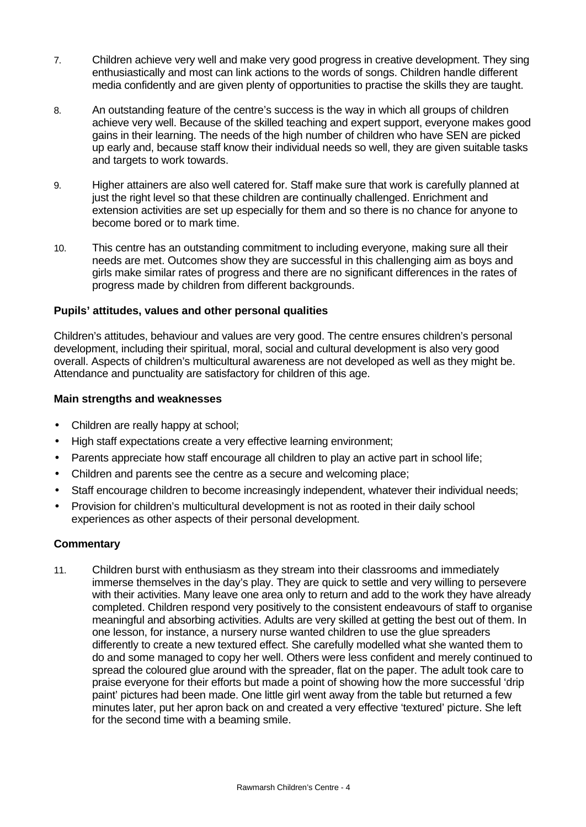- 7. Children achieve very well and make very good progress in creative development. They sing enthusiastically and most can link actions to the words of songs. Children handle different media confidently and are given plenty of opportunities to practise the skills they are taught.
- 8. An outstanding feature of the centre's success is the way in which all groups of children achieve very well. Because of the skilled teaching and expert support, everyone makes good gains in their learning. The needs of the high number of children who have SEN are picked up early and, because staff know their individual needs so well, they are given suitable tasks and targets to work towards.
- 9. Higher attainers are also well catered for. Staff make sure that work is carefully planned at just the right level so that these children are continually challenged. Enrichment and extension activities are set up especially for them and so there is no chance for anyone to become bored or to mark time.
- 10. This centre has an outstanding commitment to including everyone, making sure all their needs are met. Outcomes show they are successful in this challenging aim as boys and girls make similar rates of progress and there are no significant differences in the rates of progress made by children from different backgrounds.

## **Pupils' attitudes, values and other personal qualities**

Children's attitudes, behaviour and values are very good. The centre ensures children's personal development, including their spiritual, moral, social and cultural development is also very good overall. Aspects of children's multicultural awareness are not developed as well as they might be. Attendance and punctuality are satisfactory for children of this age.

## **Main strengths and weaknesses**

- Children are really happy at school;
- High staff expectations create a very effective learning environment;
- Parents appreciate how staff encourage all children to play an active part in school life;
- Children and parents see the centre as a secure and welcoming place;
- Staff encourage children to become increasingly independent, whatever their individual needs;
- Provision for children's multicultural development is not as rooted in their daily school experiences as other aspects of their personal development.

# **Commentary**

11. Children burst with enthusiasm as they stream into their classrooms and immediately immerse themselves in the day's play. They are quick to settle and very willing to persevere with their activities. Many leave one area only to return and add to the work they have already completed. Children respond very positively to the consistent endeavours of staff to organise meaningful and absorbing activities. Adults are very skilled at getting the best out of them. In one lesson, for instance, a nursery nurse wanted children to use the glue spreaders differently to create a new textured effect. She carefully modelled what she wanted them to do and some managed to copy her well. Others were less confident and merely continued to spread the coloured glue around with the spreader, flat on the paper. The adult took care to praise everyone for their efforts but made a point of showing how the more successful 'drip paint' pictures had been made. One little girl went away from the table but returned a few minutes later, put her apron back on and created a very effective 'textured' picture. She left for the second time with a beaming smile.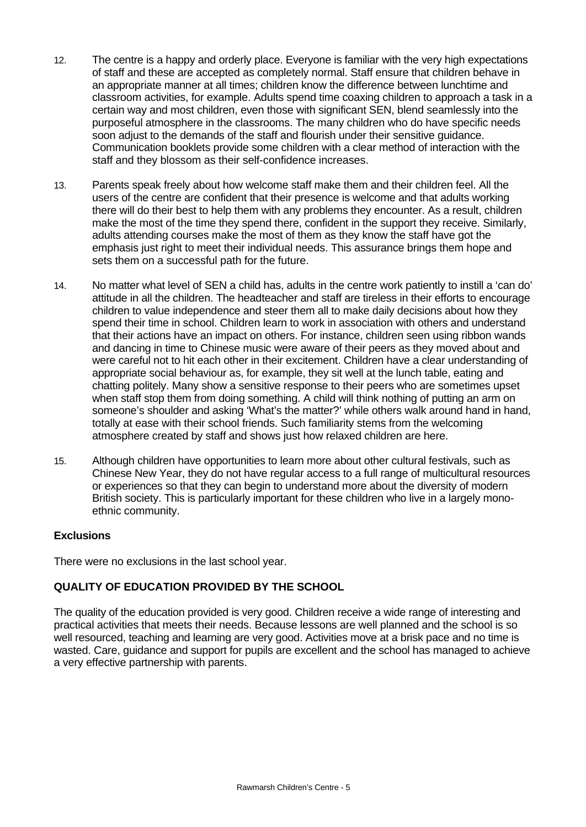- 12. The centre is a happy and orderly place. Everyone is familiar with the very high expectations of staff and these are accepted as completely normal. Staff ensure that children behave in an appropriate manner at all times; children know the difference between lunchtime and classroom activities, for example. Adults spend time coaxing children to approach a task in a certain way and most children, even those with significant SEN, blend seamlessly into the purposeful atmosphere in the classrooms. The many children who do have specific needs soon adjust to the demands of the staff and flourish under their sensitive guidance. Communication booklets provide some children with a clear method of interaction with the staff and they blossom as their self-confidence increases.
- 13. Parents speak freely about how welcome staff make them and their children feel. All the users of the centre are confident that their presence is welcome and that adults working there will do their best to help them with any problems they encounter. As a result, children make the most of the time they spend there, confident in the support they receive. Similarly, adults attending courses make the most of them as they know the staff have got the emphasis just right to meet their individual needs. This assurance brings them hope and sets them on a successful path for the future.
- 14. No matter what level of SEN a child has, adults in the centre work patiently to instill a 'can do' attitude in all the children. The headteacher and staff are tireless in their efforts to encourage children to value independence and steer them all to make daily decisions about how they spend their time in school. Children learn to work in association with others and understand that their actions have an impact on others. For instance, children seen using ribbon wands and dancing in time to Chinese music were aware of their peers as they moved about and were careful not to hit each other in their excitement. Children have a clear understanding of appropriate social behaviour as, for example, they sit well at the lunch table, eating and chatting politely. Many show a sensitive response to their peers who are sometimes upset when staff stop them from doing something. A child will think nothing of putting an arm on someone's shoulder and asking 'What's the matter?' while others walk around hand in hand, totally at ease with their school friends. Such familiarity stems from the welcoming atmosphere created by staff and shows just how relaxed children are here.
- 15. Although children have opportunities to learn more about other cultural festivals, such as Chinese New Year, they do not have regular access to a full range of multicultural resources or experiences so that they can begin to understand more about the diversity of modern British society. This is particularly important for these children who live in a largely monoethnic community.

## **Exclusions**

There were no exclusions in the last school year.

# **QUALITY OF EDUCATION PROVIDED BY THE SCHOOL**

The quality of the education provided is very good. Children receive a wide range of interesting and practical activities that meets their needs. Because lessons are well planned and the school is so well resourced, teaching and learning are very good. Activities move at a brisk pace and no time is wasted. Care, guidance and support for pupils are excellent and the school has managed to achieve a very effective partnership with parents.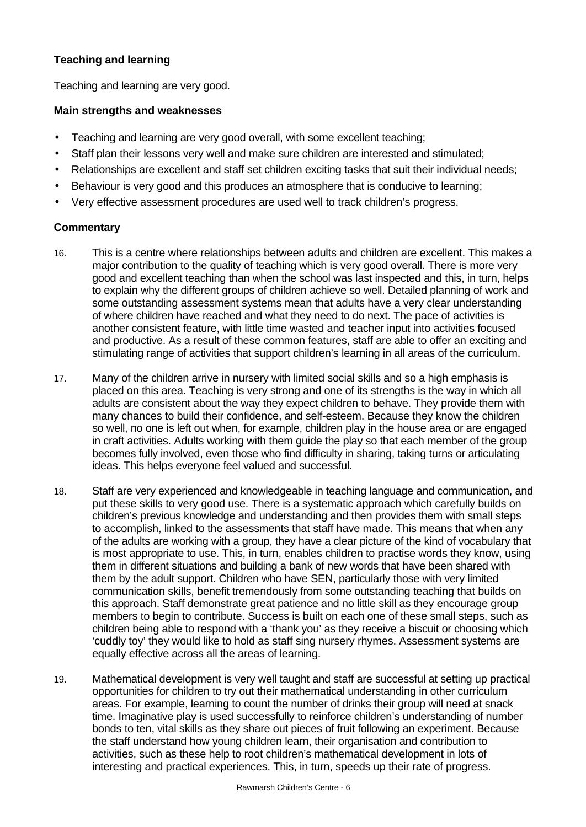# **Teaching and learning**

Teaching and learning are very good.

### **Main strengths and weaknesses**

- Teaching and learning are very good overall, with some excellent teaching;
- Staff plan their lessons very well and make sure children are interested and stimulated;
- Relationships are excellent and staff set children exciting tasks that suit their individual needs;
- Behaviour is very good and this produces an atmosphere that is conducive to learning;
- Very effective assessment procedures are used well to track children's progress.

- 16. This is a centre where relationships between adults and children are excellent. This makes a major contribution to the quality of teaching which is very good overall. There is more very good and excellent teaching than when the school was last inspected and this, in turn, helps to explain why the different groups of children achieve so well. Detailed planning of work and some outstanding assessment systems mean that adults have a very clear understanding of where children have reached and what they need to do next. The pace of activities is another consistent feature, with little time wasted and teacher input into activities focused and productive. As a result of these common features, staff are able to offer an exciting and stimulating range of activities that support children's learning in all areas of the curriculum.
- 17. Many of the children arrive in nursery with limited social skills and so a high emphasis is placed on this area. Teaching is very strong and one of its strengths is the way in which all adults are consistent about the way they expect children to behave. They provide them with many chances to build their confidence, and self-esteem. Because they know the children so well, no one is left out when, for example, children play in the house area or are engaged in craft activities. Adults working with them guide the play so that each member of the group becomes fully involved, even those who find difficulty in sharing, taking turns or articulating ideas. This helps everyone feel valued and successful.
- 18. Staff are very experienced and knowledgeable in teaching language and communication, and put these skills to very good use. There is a systematic approach which carefully builds on children's previous knowledge and understanding and then provides them with small steps to accomplish, linked to the assessments that staff have made. This means that when any of the adults are working with a group, they have a clear picture of the kind of vocabulary that is most appropriate to use. This, in turn, enables children to practise words they know, using them in different situations and building a bank of new words that have been shared with them by the adult support. Children who have SEN, particularly those with very limited communication skills, benefit tremendously from some outstanding teaching that builds on this approach. Staff demonstrate great patience and no little skill as they encourage group members to begin to contribute. Success is built on each one of these small steps, such as children being able to respond with a 'thank you' as they receive a biscuit or choosing which 'cuddly toy' they would like to hold as staff sing nursery rhymes. Assessment systems are equally effective across all the areas of learning.
- 19. Mathematical development is very well taught and staff are successful at setting up practical opportunities for children to try out their mathematical understanding in other curriculum areas. For example, learning to count the number of drinks their group will need at snack time. Imaginative play is used successfully to reinforce children's understanding of number bonds to ten, vital skills as they share out pieces of fruit following an experiment. Because the staff understand how young children learn, their organisation and contribution to activities, such as these help to root children's mathematical development in lots of interesting and practical experiences. This, in turn, speeds up their rate of progress.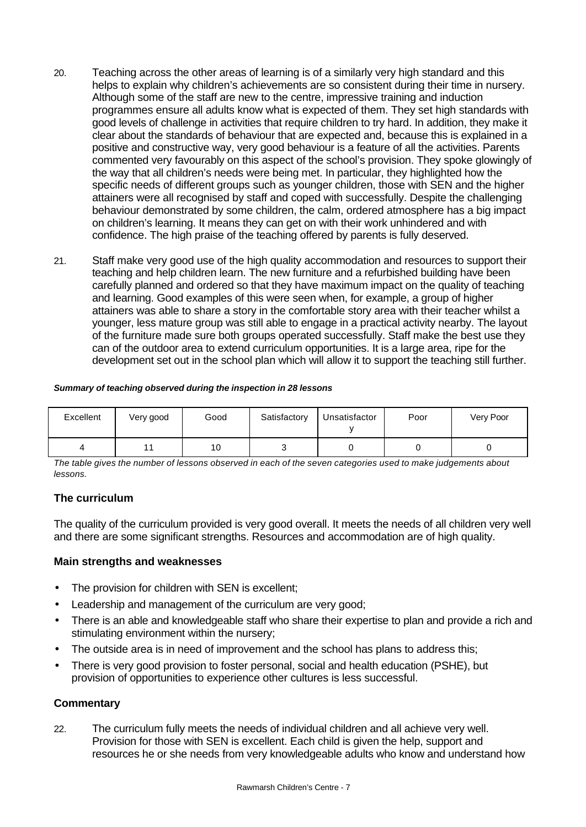- 20. Teaching across the other areas of learning is of a similarly very high standard and this helps to explain why children's achievements are so consistent during their time in nursery. Although some of the staff are new to the centre, impressive training and induction programmes ensure all adults know what is expected of them. They set high standards with good levels of challenge in activities that require children to try hard. In addition, they make it clear about the standards of behaviour that are expected and, because this is explained in a positive and constructive way, very good behaviour is a feature of all the activities. Parents commented very favourably on this aspect of the school's provision. They spoke glowingly of the way that all children's needs were being met. In particular, they highlighted how the specific needs of different groups such as younger children, those with SEN and the higher attainers were all recognised by staff and coped with successfully. Despite the challenging behaviour demonstrated by some children, the calm, ordered atmosphere has a big impact on children's learning. It means they can get on with their work unhindered and with confidence. The high praise of the teaching offered by parents is fully deserved.
- 21. Staff make very good use of the high quality accommodation and resources to support their teaching and help children learn. The new furniture and a refurbished building have been carefully planned and ordered so that they have maximum impact on the quality of teaching and learning. Good examples of this were seen when, for example, a group of higher attainers was able to share a story in the comfortable story area with their teacher whilst a younger, less mature group was still able to engage in a practical activity nearby. The layout of the furniture made sure both groups operated successfully. Staff make the best use they can of the outdoor area to extend curriculum opportunities. It is a large area, ripe for the development set out in the school plan which will allow it to support the teaching still further.

#### *Summary of teaching observed during the inspection in 28 lessons*

| Excellent | Very good | Good | Satisfactory | Unsatisfactor | Poor | Very Poor |
|-----------|-----------|------|--------------|---------------|------|-----------|
|           |           | 10   | ັ            |               |      |           |

*The table gives the number of lessons observed in each of the seven categories used to make judgements about lessons.*

## **The curriculum**

The quality of the curriculum provided is very good overall. It meets the needs of all children very well and there are some significant strengths. Resources and accommodation are of high quality.

## **Main strengths and weaknesses**

- The provision for children with SEN is excellent;
- Leadership and management of the curriculum are very good;
- There is an able and knowledgeable staff who share their expertise to plan and provide a rich and stimulating environment within the nursery;
- The outside area is in need of improvement and the school has plans to address this;
- There is very good provision to foster personal, social and health education (PSHE), but provision of opportunities to experience other cultures is less successful.

## **Commentary**

22. The curriculum fully meets the needs of individual children and all achieve very well. Provision for those with SEN is excellent. Each child is given the help, support and resources he or she needs from very knowledgeable adults who know and understand how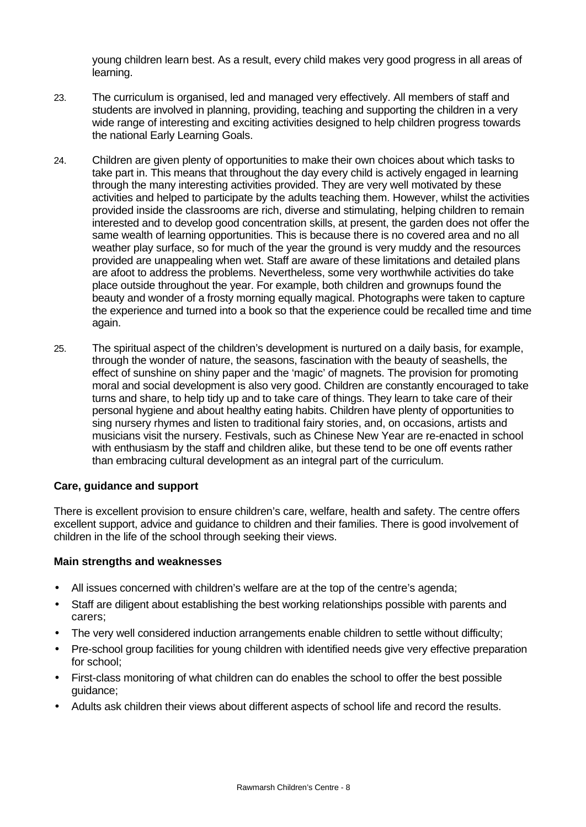young children learn best. As a result, every child makes very good progress in all areas of learning.

- 23. The curriculum is organised, led and managed very effectively. All members of staff and students are involved in planning, providing, teaching and supporting the children in a very wide range of interesting and exciting activities designed to help children progress towards the national Early Learning Goals.
- 24. Children are given plenty of opportunities to make their own choices about which tasks to take part in. This means that throughout the day every child is actively engaged in learning through the many interesting activities provided. They are very well motivated by these activities and helped to participate by the adults teaching them. However, whilst the activities provided inside the classrooms are rich, diverse and stimulating, helping children to remain interested and to develop good concentration skills, at present, the garden does not offer the same wealth of learning opportunities. This is because there is no covered area and no all weather play surface, so for much of the year the ground is very muddy and the resources provided are unappealing when wet. Staff are aware of these limitations and detailed plans are afoot to address the problems. Nevertheless, some very worthwhile activities do take place outside throughout the year. For example, both children and grownups found the beauty and wonder of a frosty morning equally magical. Photographs were taken to capture the experience and turned into a book so that the experience could be recalled time and time again.
- 25. The spiritual aspect of the children's development is nurtured on a daily basis, for example, through the wonder of nature, the seasons, fascination with the beauty of seashells, the effect of sunshine on shiny paper and the 'magic' of magnets. The provision for promoting moral and social development is also very good. Children are constantly encouraged to take turns and share, to help tidy up and to take care of things. They learn to take care of their personal hygiene and about healthy eating habits. Children have plenty of opportunities to sing nursery rhymes and listen to traditional fairy stories, and, on occasions, artists and musicians visit the nursery. Festivals, such as Chinese New Year are re-enacted in school with enthusiasm by the staff and children alike, but these tend to be one off events rather than embracing cultural development as an integral part of the curriculum.

## **Care, guidance and support**

There is excellent provision to ensure children's care, welfare, health and safety. The centre offers excellent support, advice and guidance to children and their families. There is good involvement of children in the life of the school through seeking their views.

## **Main strengths and weaknesses**

- All issues concerned with children's welfare are at the top of the centre's agenda;
- Staff are diligent about establishing the best working relationships possible with parents and carers;
- The very well considered induction arrangements enable children to settle without difficulty;
- Pre-school group facilities for young children with identified needs give very effective preparation for school;
- First-class monitoring of what children can do enables the school to offer the best possible guidance;
- Adults ask children their views about different aspects of school life and record the results.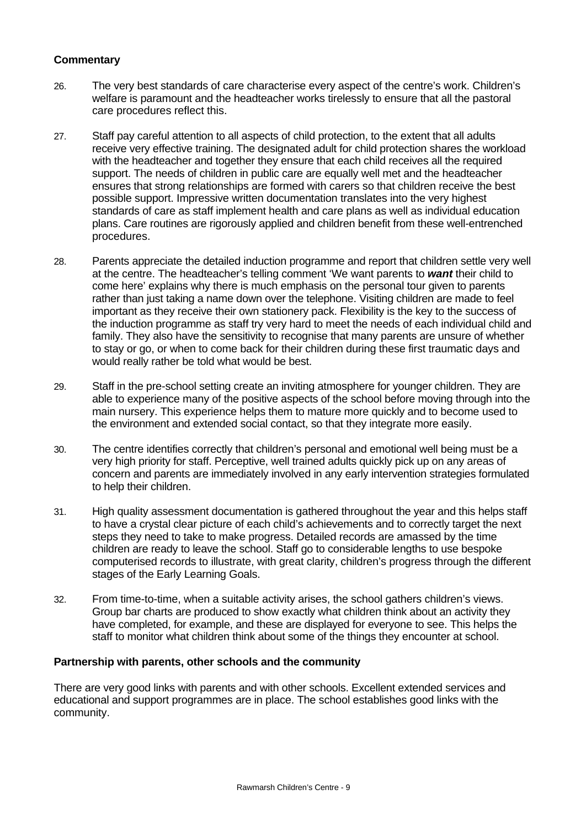# **Commentary**

- 26. The very best standards of care characterise every aspect of the centre's work. Children's welfare is paramount and the headteacher works tirelessly to ensure that all the pastoral care procedures reflect this.
- 27. Staff pay careful attention to all aspects of child protection, to the extent that all adults receive very effective training. The designated adult for child protection shares the workload with the headteacher and together they ensure that each child receives all the required support. The needs of children in public care are equally well met and the headteacher ensures that strong relationships are formed with carers so that children receive the best possible support. Impressive written documentation translates into the very highest standards of care as staff implement health and care plans as well as individual education plans. Care routines are rigorously applied and children benefit from these well-entrenched procedures.
- 28. Parents appreciate the detailed induction programme and report that children settle very well at the centre. The headteacher's telling comment 'We want parents to *want* their child to come here' explains why there is much emphasis on the personal tour given to parents rather than just taking a name down over the telephone. Visiting children are made to feel important as they receive their own stationery pack. Flexibility is the key to the success of the induction programme as staff try very hard to meet the needs of each individual child and family. They also have the sensitivity to recognise that many parents are unsure of whether to stay or go, or when to come back for their children during these first traumatic days and would really rather be told what would be best.
- 29. Staff in the pre-school setting create an inviting atmosphere for younger children. They are able to experience many of the positive aspects of the school before moving through into the main nursery. This experience helps them to mature more quickly and to become used to the environment and extended social contact, so that they integrate more easily.
- 30. The centre identifies correctly that children's personal and emotional well being must be a very high priority for staff. Perceptive, well trained adults quickly pick up on any areas of concern and parents are immediately involved in any early intervention strategies formulated to help their children.
- 31. High quality assessment documentation is gathered throughout the year and this helps staff to have a crystal clear picture of each child's achievements and to correctly target the next steps they need to take to make progress. Detailed records are amassed by the time children are ready to leave the school. Staff go to considerable lengths to use bespoke computerised records to illustrate, with great clarity, children's progress through the different stages of the Early Learning Goals.
- 32. From time-to-time, when a suitable activity arises, the school gathers children's views. Group bar charts are produced to show exactly what children think about an activity they have completed, for example, and these are displayed for everyone to see. This helps the staff to monitor what children think about some of the things they encounter at school.

#### **Partnership with parents, other schools and the community**

There are very good links with parents and with other schools. Excellent extended services and educational and support programmes are in place. The school establishes good links with the community.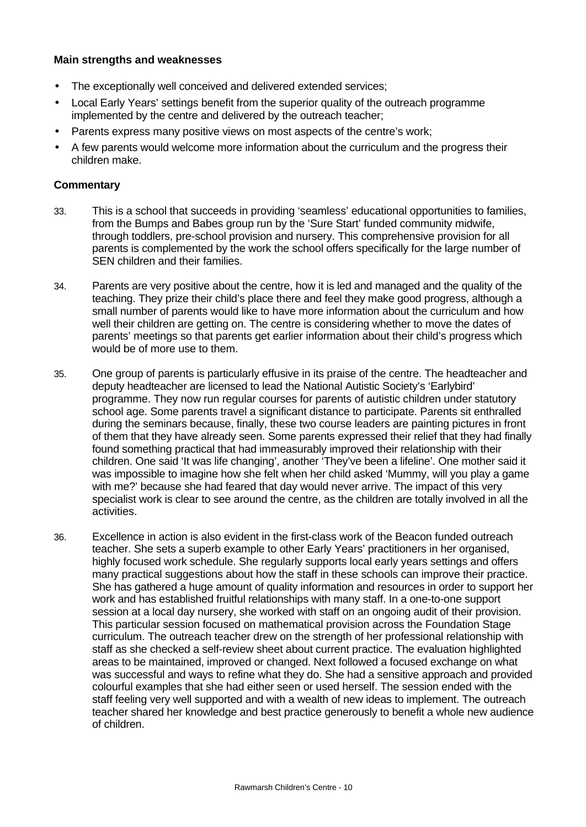#### **Main strengths and weaknesses**

- The exceptionally well conceived and delivered extended services;
- Local Early Years' settings benefit from the superior quality of the outreach programme implemented by the centre and delivered by the outreach teacher;
- Parents express many positive views on most aspects of the centre's work;
- A few parents would welcome more information about the curriculum and the progress their children make.

- 33. This is a school that succeeds in providing 'seamless' educational opportunities to families, from the Bumps and Babes group run by the 'Sure Start' funded community midwife, through toddlers, pre-school provision and nursery. This comprehensive provision for all parents is complemented by the work the school offers specifically for the large number of SEN children and their families.
- 34. Parents are very positive about the centre, how it is led and managed and the quality of the teaching. They prize their child's place there and feel they make good progress, although a small number of parents would like to have more information about the curriculum and how well their children are getting on. The centre is considering whether to move the dates of parents' meetings so that parents get earlier information about their child's progress which would be of more use to them.
- 35. One group of parents is particularly effusive in its praise of the centre. The headteacher and deputy headteacher are licensed to lead the National Autistic Society's 'Earlybird' programme. They now run regular courses for parents of autistic children under statutory school age. Some parents travel a significant distance to participate. Parents sit enthralled during the seminars because, finally, these two course leaders are painting pictures in front of them that they have already seen. Some parents expressed their relief that they had finally found something practical that had immeasurably improved their relationship with their children. One said 'It was life changing', another 'They've been a lifeline'. One mother said it was impossible to imagine how she felt when her child asked 'Mummy, will you play a game with me?' because she had feared that day would never arrive. The impact of this very specialist work is clear to see around the centre, as the children are totally involved in all the activities.
- 36. Excellence in action is also evident in the first-class work of the Beacon funded outreach teacher. She sets a superb example to other Early Years' practitioners in her organised, highly focused work schedule. She regularly supports local early years settings and offers many practical suggestions about how the staff in these schools can improve their practice. She has gathered a huge amount of quality information and resources in order to support her work and has established fruitful relationships with many staff. In a one-to-one support session at a local day nursery, she worked with staff on an ongoing audit of their provision. This particular session focused on mathematical provision across the Foundation Stage curriculum. The outreach teacher drew on the strength of her professional relationship with staff as she checked a self-review sheet about current practice. The evaluation highlighted areas to be maintained, improved or changed. Next followed a focused exchange on what was successful and ways to refine what they do. She had a sensitive approach and provided colourful examples that she had either seen or used herself. The session ended with the staff feeling very well supported and with a wealth of new ideas to implement. The outreach teacher shared her knowledge and best practice generously to benefit a whole new audience of children.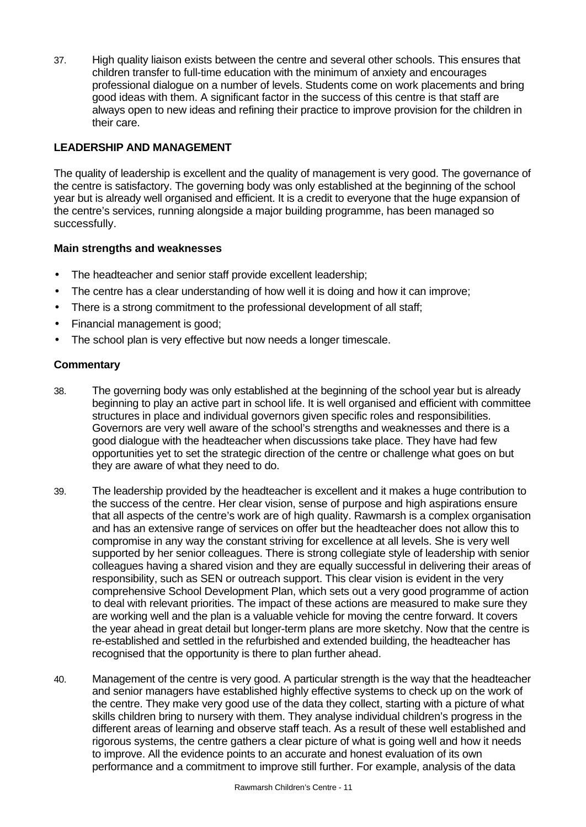37. High quality liaison exists between the centre and several other schools. This ensures that children transfer to full-time education with the minimum of anxiety and encourages professional dialogue on a number of levels. Students come on work placements and bring good ideas with them. A significant factor in the success of this centre is that staff are always open to new ideas and refining their practice to improve provision for the children in their care.

# **LEADERSHIP AND MANAGEMENT**

The quality of leadership is excellent and the quality of management is very good. The governance of the centre is satisfactory. The governing body was only established at the beginning of the school year but is already well organised and efficient. It is a credit to everyone that the huge expansion of the centre's services, running alongside a major building programme, has been managed so successfully.

## **Main strengths and weaknesses**

- The headteacher and senior staff provide excellent leadership;
- The centre has a clear understanding of how well it is doing and how it can improve;
- There is a strong commitment to the professional development of all staff;
- Financial management is good;
- The school plan is very effective but now needs a longer timescale.

- 38. The governing body was only established at the beginning of the school year but is already beginning to play an active part in school life. It is well organised and efficient with committee structures in place and individual governors given specific roles and responsibilities. Governors are very well aware of the school's strengths and weaknesses and there is a good dialogue with the headteacher when discussions take place. They have had few opportunities yet to set the strategic direction of the centre or challenge what goes on but they are aware of what they need to do.
- 39. The leadership provided by the headteacher is excellent and it makes a huge contribution to the success of the centre. Her clear vision, sense of purpose and high aspirations ensure that all aspects of the centre's work are of high quality. Rawmarsh is a complex organisation and has an extensive range of services on offer but the headteacher does not allow this to compromise in any way the constant striving for excellence at all levels. She is very well supported by her senior colleagues. There is strong collegiate style of leadership with senior colleagues having a shared vision and they are equally successful in delivering their areas of responsibility, such as SEN or outreach support. This clear vision is evident in the very comprehensive School Development Plan, which sets out a very good programme of action to deal with relevant priorities. The impact of these actions are measured to make sure they are working well and the plan is a valuable vehicle for moving the centre forward. It covers the year ahead in great detail but longer-term plans are more sketchy. Now that the centre is re-established and settled in the refurbished and extended building, the headteacher has recognised that the opportunity is there to plan further ahead.
- 40. Management of the centre is very good. A particular strength is the way that the headteacher and senior managers have established highly effective systems to check up on the work of the centre. They make very good use of the data they collect, starting with a picture of what skills children bring to nursery with them. They analyse individual children's progress in the different areas of learning and observe staff teach. As a result of these well established and rigorous systems, the centre gathers a clear picture of what is going well and how it needs to improve. All the evidence points to an accurate and honest evaluation of its own performance and a commitment to improve still further. For example, analysis of the data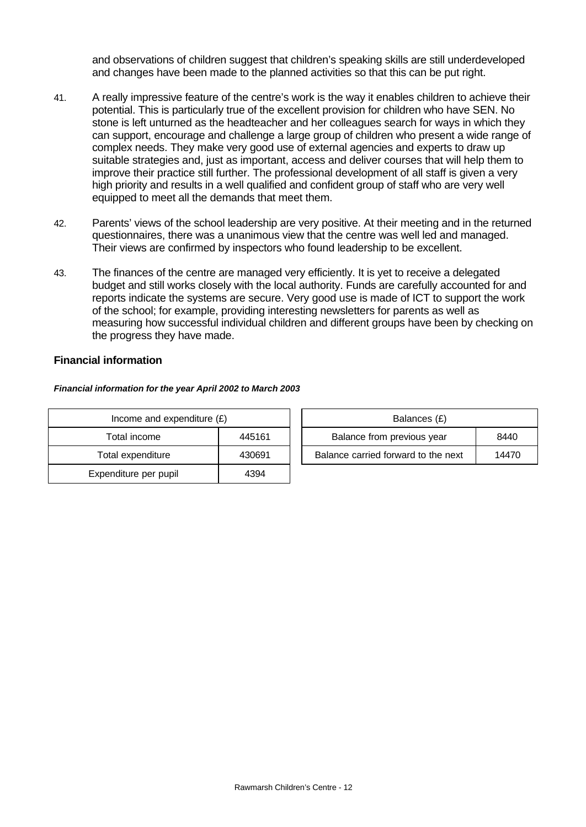and observations of children suggest that children's speaking skills are still underdeveloped and changes have been made to the planned activities so that this can be put right.

- 41. A really impressive feature of the centre's work is the way it enables children to achieve their potential. This is particularly true of the excellent provision for children who have SEN. No stone is left unturned as the headteacher and her colleagues search for ways in which they can support, encourage and challenge a large group of children who present a wide range of complex needs. They make very good use of external agencies and experts to draw up suitable strategies and, just as important, access and deliver courses that will help them to improve their practice still further. The professional development of all staff is given a very high priority and results in a well qualified and confident group of staff who are very well equipped to meet all the demands that meet them.
- 42. Parents' views of the school leadership are very positive. At their meeting and in the returned questionnaires, there was a unanimous view that the centre was well led and managed. Their views are confirmed by inspectors who found leadership to be excellent.
- 43. The finances of the centre are managed very efficiently. It is yet to receive a delegated budget and still works closely with the local authority. Funds are carefully accounted for and reports indicate the systems are secure. Very good use is made of ICT to support the work of the school; for example, providing interesting newsletters for parents as well as measuring how successful individual children and different groups have been by checking on the progress they have made.

## **Financial information**

#### *Financial information for the year April 2002 to March 2003*

| Income and expenditure $(E)$ |        |  | Balances (£)                   |  |  |
|------------------------------|--------|--|--------------------------------|--|--|
| Total income                 | 445161 |  | Balance from previous year     |  |  |
| Total expenditure            | 430691 |  | Balance carried forward to the |  |  |
| Expenditure per pupil        | 4394   |  |                                |  |  |

| Income and expenditure $(E)$ |        | Balances (£)                        |       |
|------------------------------|--------|-------------------------------------|-------|
| Total income                 | 445161 | Balance from previous year<br>8440  |       |
| Total expenditure            | 430691 | Balance carried forward to the next | 14470 |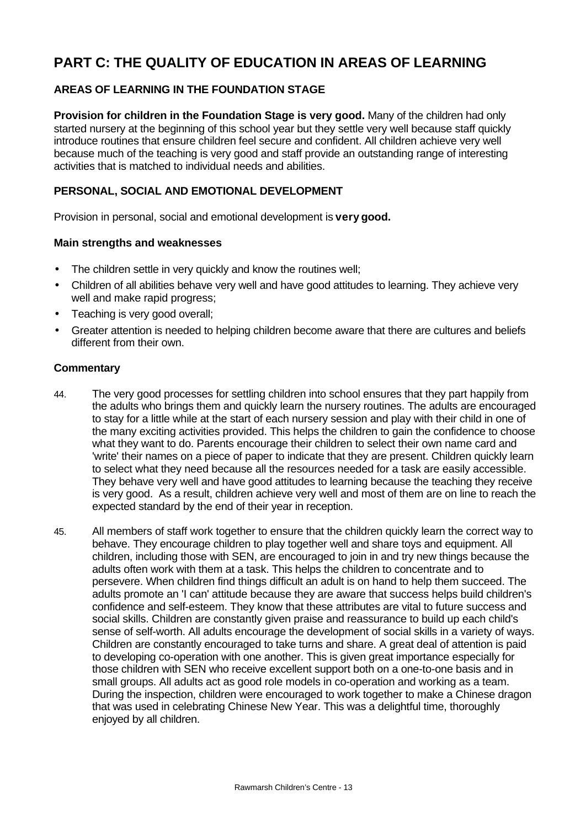# **PART C: THE QUALITY OF EDUCATION IN AREAS OF LEARNING**

# **AREAS OF LEARNING IN THE FOUNDATION STAGE**

**Provision for children in the Foundation Stage is very good.** Many of the children had only started nursery at the beginning of this school year but they settle very well because staff quickly introduce routines that ensure children feel secure and confident. All children achieve very well because much of the teaching is very good and staff provide an outstanding range of interesting activities that is matched to individual needs and abilities.

# **PERSONAL, SOCIAL AND EMOTIONAL DEVELOPMENT**

Provision in personal, social and emotional development is **very good.**

#### **Main strengths and weaknesses**

- The children settle in very quickly and know the routines well;
- Children of all abilities behave very well and have good attitudes to learning. They achieve very well and make rapid progress;
- Teaching is very good overall;
- Greater attention is needed to helping children become aware that there are cultures and beliefs different from their own.

- 44. The very good processes for settling children into school ensures that they part happily from the adults who brings them and quickly learn the nursery routines. The adults are encouraged to stay for a little while at the start of each nursery session and play with their child in one of the many exciting activities provided. This helps the children to gain the confidence to choose what they want to do. Parents encourage their children to select their own name card and 'write' their names on a piece of paper to indicate that they are present. Children quickly learn to select what they need because all the resources needed for a task are easily accessible. They behave very well and have good attitudes to learning because the teaching they receive is very good. As a result, children achieve very well and most of them are on line to reach the expected standard by the end of their year in reception.
- 45. All members of staff work together to ensure that the children quickly learn the correct way to behave. They encourage children to play together well and share toys and equipment. All children, including those with SEN, are encouraged to join in and try new things because the adults often work with them at a task. This helps the children to concentrate and to persevere. When children find things difficult an adult is on hand to help them succeed. The adults promote an 'I can' attitude because they are aware that success helps build children's confidence and self-esteem. They know that these attributes are vital to future success and social skills. Children are constantly given praise and reassurance to build up each child's sense of self-worth. All adults encourage the development of social skills in a variety of ways. Children are constantly encouraged to take turns and share. A great deal of attention is paid to developing co-operation with one another. This is given great importance especially for those children with SEN who receive excellent support both on a one-to-one basis and in small groups. All adults act as good role models in co-operation and working as a team. During the inspection, children were encouraged to work together to make a Chinese dragon that was used in celebrating Chinese New Year. This was a delightful time, thoroughly enjoyed by all children.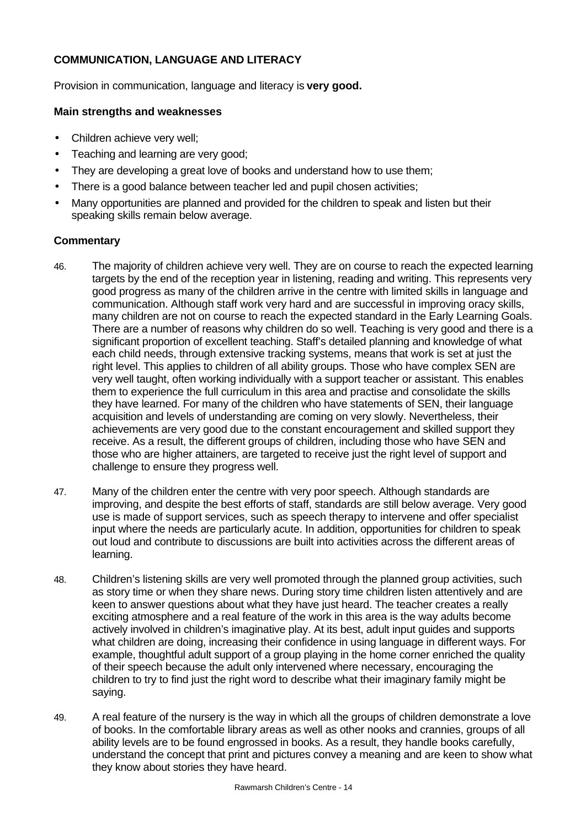# **COMMUNICATION, LANGUAGE AND LITERACY**

Provision in communication, language and literacy is **very good.**

### **Main strengths and weaknesses**

- Children achieve very well;
- Teaching and learning are very good;
- They are developing a great love of books and understand how to use them;
- There is a good balance between teacher led and pupil chosen activities;
- Many opportunities are planned and provided for the children to speak and listen but their speaking skills remain below average.

- 46. The majority of children achieve very well. They are on course to reach the expected learning targets by the end of the reception year in listening, reading and writing. This represents very good progress as many of the children arrive in the centre with limited skills in language and communication. Although staff work very hard and are successful in improving oracy skills, many children are not on course to reach the expected standard in the Early Learning Goals. There are a number of reasons why children do so well. Teaching is very good and there is a significant proportion of excellent teaching. Staff's detailed planning and knowledge of what each child needs, through extensive tracking systems, means that work is set at just the right level. This applies to children of all ability groups. Those who have complex SEN are very well taught, often working individually with a support teacher or assistant. This enables them to experience the full curriculum in this area and practise and consolidate the skills they have learned. For many of the children who have statements of SEN, their language acquisition and levels of understanding are coming on very slowly. Nevertheless, their achievements are very good due to the constant encouragement and skilled support they receive. As a result, the different groups of children, including those who have SEN and those who are higher attainers, are targeted to receive just the right level of support and challenge to ensure they progress well.
- 47. Many of the children enter the centre with very poor speech. Although standards are improving, and despite the best efforts of staff, standards are still below average. Very good use is made of support services, such as speech therapy to intervene and offer specialist input where the needs are particularly acute. In addition, opportunities for children to speak out loud and contribute to discussions are built into activities across the different areas of learning.
- 48. Children's listening skills are very well promoted through the planned group activities, such as story time or when they share news. During story time children listen attentively and are keen to answer questions about what they have just heard. The teacher creates a really exciting atmosphere and a real feature of the work in this area is the way adults become actively involved in children's imaginative play. At its best, adult input guides and supports what children are doing, increasing their confidence in using language in different ways. For example, thoughtful adult support of a group playing in the home corner enriched the quality of their speech because the adult only intervened where necessary, encouraging the children to try to find just the right word to describe what their imaginary family might be saying.
- 49. A real feature of the nursery is the way in which all the groups of children demonstrate a love of books. In the comfortable library areas as well as other nooks and crannies, groups of all ability levels are to be found engrossed in books. As a result, they handle books carefully, understand the concept that print and pictures convey a meaning and are keen to show what they know about stories they have heard.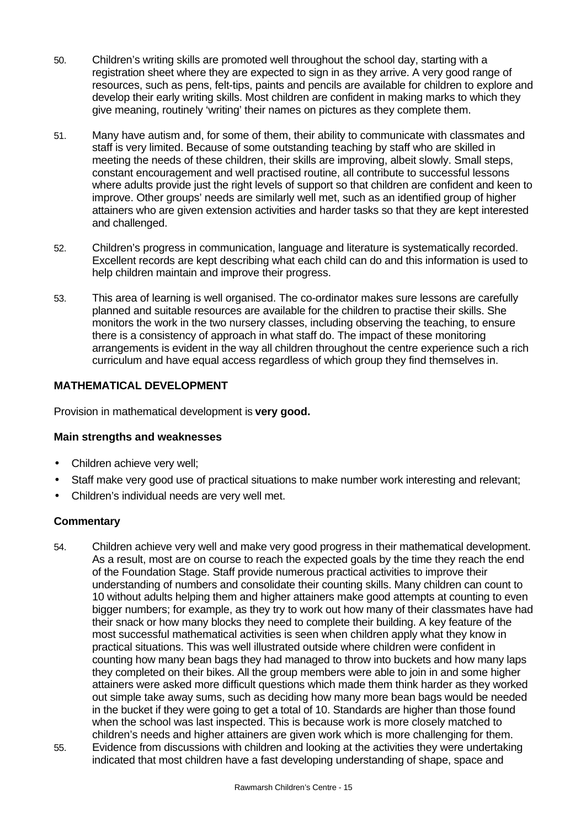- 50. Children's writing skills are promoted well throughout the school day, starting with a registration sheet where they are expected to sign in as they arrive. A very good range of resources, such as pens, felt-tips, paints and pencils are available for children to explore and develop their early writing skills. Most children are confident in making marks to which they give meaning, routinely 'writing' their names on pictures as they complete them.
- 51. Many have autism and, for some of them, their ability to communicate with classmates and staff is very limited. Because of some outstanding teaching by staff who are skilled in meeting the needs of these children, their skills are improving, albeit slowly. Small steps, constant encouragement and well practised routine, all contribute to successful lessons where adults provide just the right levels of support so that children are confident and keen to improve. Other groups' needs are similarly well met, such as an identified group of higher attainers who are given extension activities and harder tasks so that they are kept interested and challenged.
- 52. Children's progress in communication, language and literature is systematically recorded. Excellent records are kept describing what each child can do and this information is used to help children maintain and improve their progress.
- 53. This area of learning is well organised. The co-ordinator makes sure lessons are carefully planned and suitable resources are available for the children to practise their skills. She monitors the work in the two nursery classes, including observing the teaching, to ensure there is a consistency of approach in what staff do. The impact of these monitoring arrangements is evident in the way all children throughout the centre experience such a rich curriculum and have equal access regardless of which group they find themselves in.

# **MATHEMATICAL DEVELOPMENT**

Provision in mathematical development is **very good.**

## **Main strengths and weaknesses**

- Children achieve very well;
- Staff make very good use of practical situations to make number work interesting and relevant;
- Children's individual needs are very well met.

- 54. Children achieve very well and make very good progress in their mathematical development. As a result, most are on course to reach the expected goals by the time they reach the end of the Foundation Stage. Staff provide numerous practical activities to improve their understanding of numbers and consolidate their counting skills. Many children can count to 10 without adults helping them and higher attainers make good attempts at counting to even bigger numbers; for example, as they try to work out how many of their classmates have had their snack or how many blocks they need to complete their building. A key feature of the most successful mathematical activities is seen when children apply what they know in practical situations. This was well illustrated outside where children were confident in counting how many bean bags they had managed to throw into buckets and how many laps they completed on their bikes. All the group members were able to join in and some higher attainers were asked more difficult questions which made them think harder as they worked out simple take away sums, such as deciding how many more bean bags would be needed in the bucket if they were going to get a total of 10. Standards are higher than those found when the school was last inspected. This is because work is more closely matched to children's needs and higher attainers are given work which is more challenging for them. 55. Evidence from discussions with children and looking at the activities they were undertaking
- indicated that most children have a fast developing understanding of shape, space and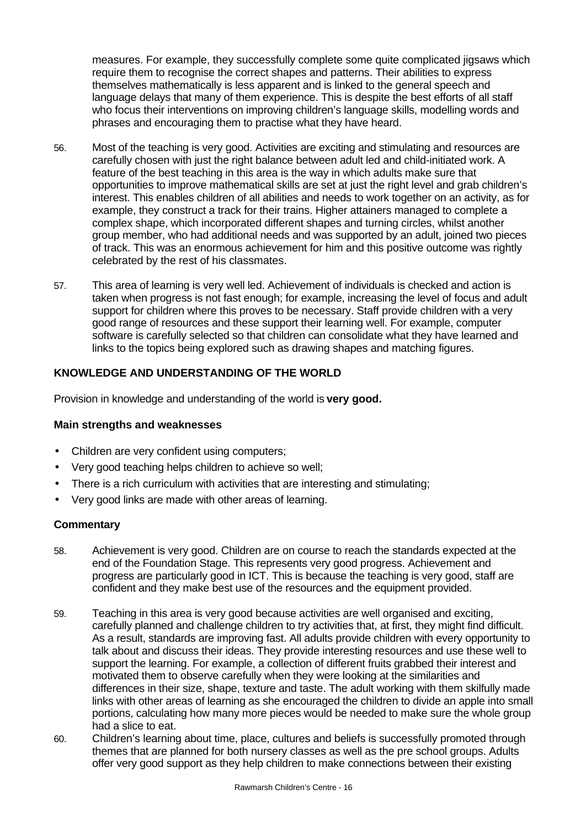measures. For example, they successfully complete some quite complicated jigsaws which require them to recognise the correct shapes and patterns. Their abilities to express themselves mathematically is less apparent and is linked to the general speech and language delays that many of them experience. This is despite the best efforts of all staff who focus their interventions on improving children's language skills, modelling words and phrases and encouraging them to practise what they have heard.

- 56. Most of the teaching is very good. Activities are exciting and stimulating and resources are carefully chosen with just the right balance between adult led and child-initiated work. A feature of the best teaching in this area is the way in which adults make sure that opportunities to improve mathematical skills are set at just the right level and grab children's interest. This enables children of all abilities and needs to work together on an activity, as for example, they construct a track for their trains. Higher attainers managed to complete a complex shape, which incorporated different shapes and turning circles, whilst another group member, who had additional needs and was supported by an adult, joined two pieces of track. This was an enormous achievement for him and this positive outcome was rightly celebrated by the rest of his classmates.
- 57. This area of learning is very well led. Achievement of individuals is checked and action is taken when progress is not fast enough; for example, increasing the level of focus and adult support for children where this proves to be necessary. Staff provide children with a very good range of resources and these support their learning well. For example, computer software is carefully selected so that children can consolidate what they have learned and links to the topics being explored such as drawing shapes and matching figures.

# **KNOWLEDGE AND UNDERSTANDING OF THE WORLD**

Provision in knowledge and understanding of the world is **very good.**

## **Main strengths and weaknesses**

- Children are very confident using computers;
- Very good teaching helps children to achieve so well;
- There is a rich curriculum with activities that are interesting and stimulating;
- Very good links are made with other areas of learning.

- 58. Achievement is very good. Children are on course to reach the standards expected at the end of the Foundation Stage. This represents very good progress. Achievement and progress are particularly good in ICT. This is because the teaching is very good, staff are confident and they make best use of the resources and the equipment provided.
- 59. Teaching in this area is very good because activities are well organised and exciting, carefully planned and challenge children to try activities that, at first, they might find difficult. As a result, standards are improving fast. All adults provide children with every opportunity to talk about and discuss their ideas. They provide interesting resources and use these well to support the learning. For example, a collection of different fruits grabbed their interest and motivated them to observe carefully when they were looking at the similarities and differences in their size, shape, texture and taste. The adult working with them skilfully made links with other areas of learning as she encouraged the children to divide an apple into small portions, calculating how many more pieces would be needed to make sure the whole group had a slice to eat.
- 60. Children's learning about time, place, cultures and beliefs is successfully promoted through themes that are planned for both nursery classes as well as the pre school groups. Adults offer very good support as they help children to make connections between their existing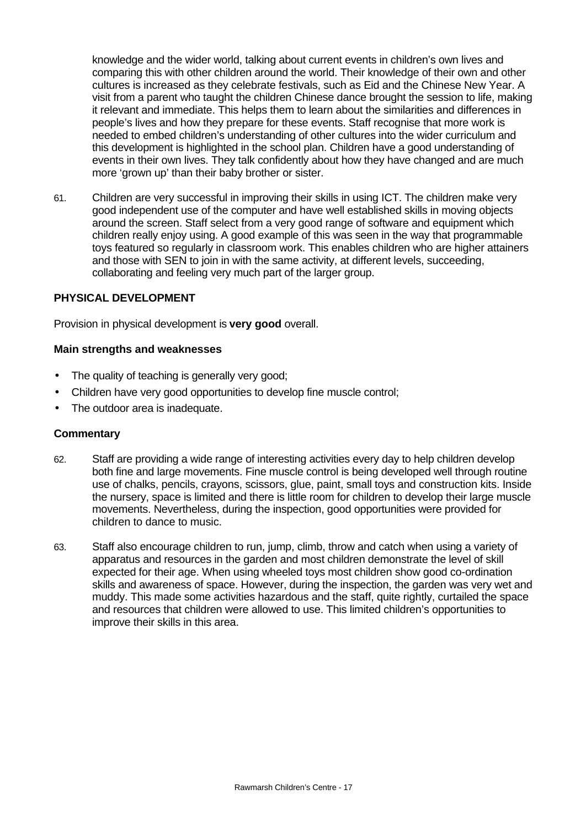knowledge and the wider world, talking about current events in children's own lives and comparing this with other children around the world. Their knowledge of their own and other cultures is increased as they celebrate festivals, such as Eid and the Chinese New Year. A visit from a parent who taught the children Chinese dance brought the session to life, making it relevant and immediate. This helps them to learn about the similarities and differences in people's lives and how they prepare for these events. Staff recognise that more work is needed to embed children's understanding of other cultures into the wider curriculum and this development is highlighted in the school plan. Children have a good understanding of events in their own lives. They talk confidently about how they have changed and are much more 'grown up' than their baby brother or sister.

61. Children are very successful in improving their skills in using ICT. The children make very good independent use of the computer and have well established skills in moving objects around the screen. Staff select from a very good range of software and equipment which children really enjoy using. A good example of this was seen in the way that programmable toys featured so regularly in classroom work. This enables children who are higher attainers and those with SEN to join in with the same activity, at different levels, succeeding, collaborating and feeling very much part of the larger group.

#### **PHYSICAL DEVELOPMENT**

Provision in physical development is **very good** overall.

#### **Main strengths and weaknesses**

- The quality of teaching is generally very good;
- Children have very good opportunities to develop fine muscle control;
- The outdoor area is inadequate.

- 62. Staff are providing a wide range of interesting activities every day to help children develop both fine and large movements. Fine muscle control is being developed well through routine use of chalks, pencils, crayons, scissors, glue, paint, small toys and construction kits. Inside the nursery, space is limited and there is little room for children to develop their large muscle movements. Nevertheless, during the inspection, good opportunities were provided for children to dance to music.
- 63. Staff also encourage children to run, jump, climb, throw and catch when using a variety of apparatus and resources in the garden and most children demonstrate the level of skill expected for their age. When using wheeled toys most children show good co-ordination skills and awareness of space. However, during the inspection, the garden was very wet and muddy. This made some activities hazardous and the staff, quite rightly, curtailed the space and resources that children were allowed to use. This limited children's opportunities to improve their skills in this area.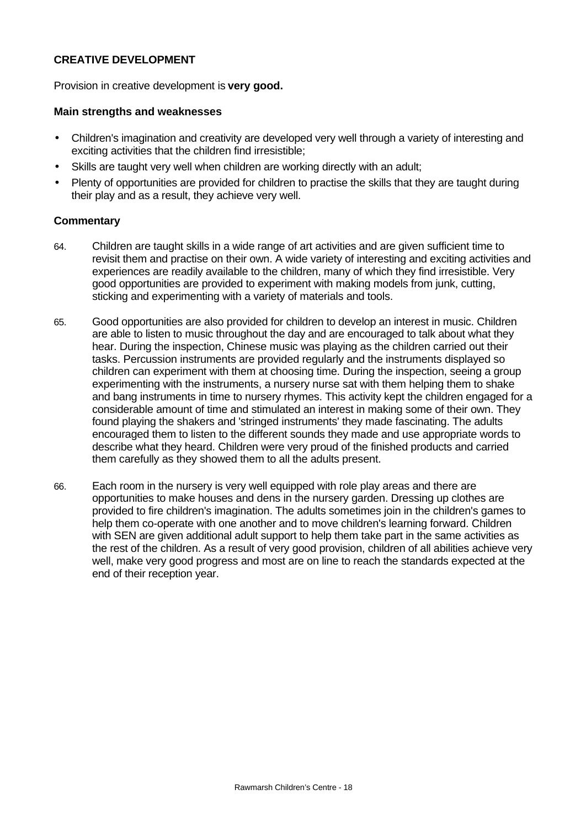## **CREATIVE DEVELOPMENT**

Provision in creative development is **very good.**

#### **Main strengths and weaknesses**

- Children's imagination and creativity are developed very well through a variety of interesting and exciting activities that the children find irresistible;
- Skills are taught very well when children are working directly with an adult;
- Plenty of opportunities are provided for children to practise the skills that they are taught during their play and as a result, they achieve very well.

- 64. Children are taught skills in a wide range of art activities and are given sufficient time to revisit them and practise on their own. A wide variety of interesting and exciting activities and experiences are readily available to the children, many of which they find irresistible. Very good opportunities are provided to experiment with making models from junk, cutting, sticking and experimenting with a variety of materials and tools.
- 65. Good opportunities are also provided for children to develop an interest in music. Children are able to listen to music throughout the day and are encouraged to talk about what they hear. During the inspection, Chinese music was playing as the children carried out their tasks. Percussion instruments are provided regularly and the instruments displayed so children can experiment with them at choosing time. During the inspection, seeing a group experimenting with the instruments, a nursery nurse sat with them helping them to shake and bang instruments in time to nursery rhymes. This activity kept the children engaged for a considerable amount of time and stimulated an interest in making some of their own. They found playing the shakers and 'stringed instruments' they made fascinating. The adults encouraged them to listen to the different sounds they made and use appropriate words to describe what they heard. Children were very proud of the finished products and carried them carefully as they showed them to all the adults present.
- 66. Each room in the nursery is very well equipped with role play areas and there are opportunities to make houses and dens in the nursery garden. Dressing up clothes are provided to fire children's imagination. The adults sometimes join in the children's games to help them co-operate with one another and to move children's learning forward. Children with SEN are given additional adult support to help them take part in the same activities as the rest of the children. As a result of very good provision, children of all abilities achieve very well, make very good progress and most are on line to reach the standards expected at the end of their reception year.